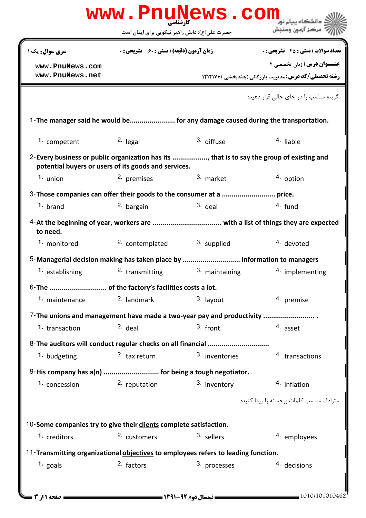|                      | حضرت علی(ع): دانش راهبر نیکویی برای ایمان است                                                                                                      |                | مركز آزمون وسنجش                                                                |
|----------------------|----------------------------------------------------------------------------------------------------------------------------------------------------|----------------|---------------------------------------------------------------------------------|
| سری سوال: یک ۱       | <b>زمان آزمون (دقیقه) : تستی : 60 ٪ تشریحی : 0</b>                                                                                                 |                | <b>تعداد سوالات : تستي : 25 ۔ تشریحي : 0</b>                                    |
| www.PnuNews.com      |                                                                                                                                                    |                | <b>عنــوان درس:</b> زبان تخصصی ۲                                                |
| www.PnuNews.net      |                                                                                                                                                    |                | <b>رشته تحصیلی/کد درس:</b> مدیریت بازرگانی (چندبخشی ) 1212176                   |
|                      |                                                                                                                                                    |                | گزینه مناسب ٫ا د٫ جای خالی قرا٫ دهید:                                           |
|                      |                                                                                                                                                    |                | 1-The manager said he would be for any damage caused during the transportation. |
| 1. competent         | $2.$ legal                                                                                                                                         | 3. diffuse     | 4. liable                                                                       |
|                      | 2-Every business or public organization has its , that is to say the group of existing and<br>potential buyers or users of its goods and services. |                |                                                                                 |
| $1.$ union           | 2. premises                                                                                                                                        | 3. market      | 4. option                                                                       |
|                      |                                                                                                                                                    |                |                                                                                 |
| $1.$ brand           | 2. bargain                                                                                                                                         | $3.$ deal      | 4. fund                                                                         |
| to need.             |                                                                                                                                                    |                |                                                                                 |
| 1. monitored         | 2. contemplated                                                                                                                                    | 3. supplied    | 4. devoted                                                                      |
|                      | 5-Managerial decision making has taken place by  information to managers                                                                           |                |                                                                                 |
| 1. establishing      | 2. transmitting                                                                                                                                    | 3. maintaining | 4. implementing                                                                 |
|                      | 6- The  of the factory's facilities costs a lot.                                                                                                   |                |                                                                                 |
| 1. maintenance       | 2. landmark                                                                                                                                        | 3. layout      | 4. premise                                                                      |
|                      | 7-The unions and management have made a two-year pay and productivity                                                                              |                |                                                                                 |
| 1. transaction       | $2.$ deal                                                                                                                                          | 3. front       | 4. asset                                                                        |
|                      |                                                                                                                                                    |                |                                                                                 |
| 1. budgeting         | 2. tax return                                                                                                                                      | 3. inventories | 4. transactions                                                                 |
|                      | 9-His company has a(n)  for being a tough negotiator.                                                                                              |                |                                                                                 |
| 1. concession        | 2. reputation                                                                                                                                      | 3. inventory   | 4. inflation                                                                    |
|                      |                                                                                                                                                    |                | مترادف مناسب كلمات برجسته ,ا ييدا كنيد:                                         |
|                      |                                                                                                                                                    |                |                                                                                 |
|                      | 10-Some companies try to give their clients complete satisfaction.                                                                                 |                |                                                                                 |
| 1. creditors         | 2. customers                                                                                                                                       | 3. sellers     | 4. employees                                                                    |
|                      | 11-Transmitting organizational objectives to employees refers to leading function.                                                                 |                |                                                                                 |
| 1. $_{\text{goals}}$ | 2. factors                                                                                                                                         | 3. processes   | 4. decisions                                                                    |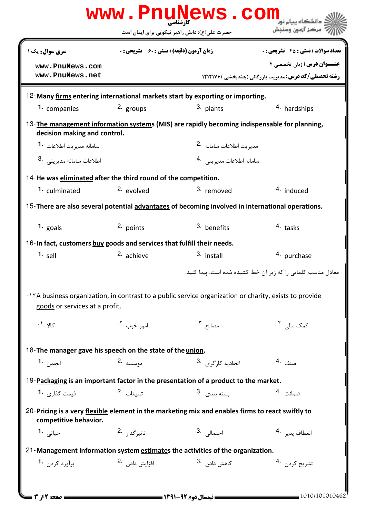|                                                                                                                                                       |                                                    | www.PnuNews.com                |                                                               |  |  |  |
|-------------------------------------------------------------------------------------------------------------------------------------------------------|----------------------------------------------------|--------------------------------|---------------------------------------------------------------|--|--|--|
|                                                                                                                                                       | حضرت علی(ع): دانش راهبر نیکویی برای ایمان است      |                                | مركز آزمون وسنجش                                              |  |  |  |
| سری سوال: یک ۱                                                                                                                                        | <b>زمان آزمون (دقیقه) : تستی : 60 ٪ تشریحی : 0</b> |                                | <b>تعداد سوالات : تستی : 25 - تشریحی : 0</b>                  |  |  |  |
| www.PnuNews.com                                                                                                                                       |                                                    |                                | <b>عنــوان درس: زبان تخصصی 2</b>                              |  |  |  |
| www.PnuNews.net                                                                                                                                       |                                                    |                                | <b>رشته تحصیلی/کد درس:</b> مدیریت بازرگانی (چندبخشی ) 1212176 |  |  |  |
| 12-Many firms entering international markets start by exporting or importing.                                                                         |                                                    |                                |                                                               |  |  |  |
| 1. companies                                                                                                                                          | $2.$ groups                                        | 3. plants                      | 4. hardships                                                  |  |  |  |
| 13-The management information systems (MIS) are rapidly becoming indispensable for planning,<br>decision making and control.                          |                                                    |                                |                                                               |  |  |  |
| سامانه مدبر ت اطلاعات <b>-1</b>                                                                                                                       |                                                    | مديريت اطلاعات سامانه 2.       |                                                               |  |  |  |
| 3. اطلاعات سامانه مديريتي                                                                                                                             |                                                    | سامانه اطلاعات مديريتي 4.      |                                                               |  |  |  |
| 14-He was eliminated after the third round of the competition.                                                                                        |                                                    |                                |                                                               |  |  |  |
| 1. culminated                                                                                                                                         | 2. evolved                                         | 3. removed                     | <sup>4.</sup> induced                                         |  |  |  |
| 15-There are also several potential advantages of becoming involved in international operations.                                                      |                                                    |                                |                                                               |  |  |  |
| 1. $_{\text{goals}}$                                                                                                                                  | 2. points                                          | 3. benefits                    | 4. tasks                                                      |  |  |  |
| 16-In fact, customers buy goods and services that fulfill their needs.                                                                                |                                                    |                                |                                                               |  |  |  |
| $1.$ sell                                                                                                                                             | 2. achieve                                         | 3. install                     | 4. purchase                                                   |  |  |  |
|                                                                                                                                                       |                                                    |                                | معادل مناسب کلماتی را که زیر آن خط کشیده شده است، پیدا کنید:  |  |  |  |
| - <sup>1</sup> YA business organization, in contrast to a public service organization or charity, exists to provide<br>goods or services at a profit. |                                                    |                                |                                                               |  |  |  |
| کالا <b>'</b> .                                                                                                                                       | امور خوب <sup>۲</sup> ۰                            | مصالح <sup>۲</sup> ۰           | کمک مال <sub>ی،</sub> ۴.                                      |  |  |  |
| 18-The manager gave his speech on the state of the union.                                                                                             |                                                    |                                |                                                               |  |  |  |
| <b>ا</b> نجمن 1 <b>.</b>                                                                                                                              | موسسه 2.                                           | اتحادیه کا <sub>ر</sub> گری .3 | صنف .4                                                        |  |  |  |
| 19-Packaging is an important factor in the presentation of a product to the market.                                                                   |                                                    |                                |                                                               |  |  |  |
| قیمت گذا <sub>دی</sub> 1.                                                                                                                             | تىلىغات 2.                                         | بسته بندی . 3                  | ضمانت 4.                                                      |  |  |  |
| 20-Pricing is a very flexible element in the marketing mix and enables firms to react swiftly to<br>competitive behavior.                             |                                                    |                                |                                                               |  |  |  |
| حياتي <b>1.</b>                                                                                                                                       | تاثير گذار 2.                                      | احتمال <sub>ی</sub> .3         | انعطاف يذير 4.                                                |  |  |  |
| 21-Management information system estimates the activities of the organization.                                                                        |                                                    |                                |                                                               |  |  |  |
| برآورد كردن 1.                                                                                                                                        | افزايش دادن .2                                     | كاهش داد <sub>ن</sub> .3       | تشريح كردن 4.                                                 |  |  |  |
|                                                                                                                                                       |                                                    |                                |                                                               |  |  |  |
| <b>= صفحه 12; 3 ==</b>                                                                                                                                |                                                    |                                | $= 1010/101010462$                                            |  |  |  |